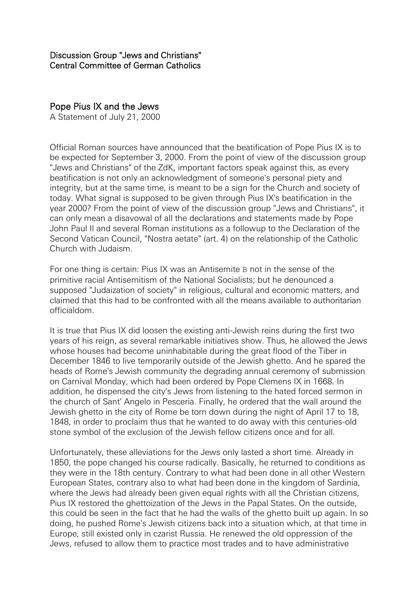## Pope Pius IX and the Jews

A Statement of July 21, 2000

Official Roman sources have announced that the beatification of Pope Pius IX is to be expected for September 3, 2000. From the point of view of the discussion group "Jews and Christians" of the ZdK, important factors speak against this, as every beatification is not only an acknowledgment of someone's personal piety and integrity, but at the same time, is meant to be a sign for the Church and society of today. What signal is supposed to be given through Pius IX's beatification in the year 2000? From the point of view of the discussion group "Jews and Christians", it can only mean a disavowal of all the declarations and statements made by Pope John Paul II and several Roman institutions as a followup to the Declaration of the Second Vatican Council, "Nostra aetate" (art. 4) on the relationship of the Catholic Church with Judaism.

For one thing is certain: Pius IX was an Antisemite B not in the sense of the primitive racial Antisemitism of the National Socialists; but he denounced a supposed "Judaization of society" in religious, cultural and economic matters, and claimed that this had to be confronted with all the means available to authoritarian officialdom.

It is true that Pius IX did loosen the existing anti-Jewish reins during the first two years of his reign, as several remarkable initiatives show. Thus, he allowed the Jews whose houses had become uninhabitable during the great flood of the Tiber in December 1846 to live temporarily outside of the Jewish ghetto. And he spared the heads of Rome's Jewish community the degrading annual ceremony of submission on Carnival Monday, which had been ordered by Pope Clemens IX in 1668. In addition, he dispensed the city's Jews from listening to the hated forced sermon in the church of Sant' Angelo in Pesceria. Finally, he ordered that the wall around the Jewish ghetto in the city of Rome be torn down during the night of April 17 to 18, 1848, in order to proclaim thus that he wanted to do away with this centuries-old stone symbol of the exclusion of the Jewish fellow citizens once and for all.

Unfortunately, these alleviations for the Jews only lasted a short time. Already in 1850, the pope changed his course radically. Basically, he returned to conditions as they were in the 18th century. Contrary to what had been done in all other Western European States, contrary also to what had been done in the kingdom of Sardinia, where the Jews had already been given equal rights with all the Christian citizens, Pius IX restored the ghettoization of the Jews in the Papal States. On the outside, this could be seen in the fact that he had the walls of the ghetto built up again. In so doing, he pushed Rome's Jewish citizens back into a situation which, at that time in Europe, still existed only in czarist Russia. He renewed the old oppression of the Jews, refused to allow them to practice most trades and to have administrative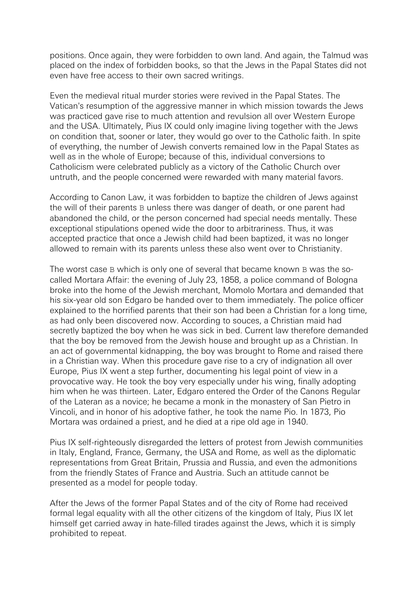positions. Once again, they were forbidden to own land. And again, the Talmud was placed on the index of forbidden books, so that the Jews in the Papal States did not even have free access to their own sacred writings.

Even the medieval ritual murder stories were revived in the Papal States. The Vatican's resumption of the aggressive manner in which mission towards the Jews was practiced gave rise to much attention and revulsion all over Western Europe and the USA. Ultimately, Pius IX could only imagine living together with the Jews on condition that, sooner or later, they would go over to the Catholic faith. In spite of everything, the number of Jewish converts remained low in the Papal States as well as in the whole of Europe; because of this, individual conversions to Catholicism were celebrated publicly as a victory of the Catholic Church over untruth, and the people concerned were rewarded with many material favors.

According to Canon Law, it was forbidden to baptize the children of Jews against the will of their parents B unless there was danger of death, or one parent had abandoned the child, or the person concerned had special needs mentally. These exceptional stipulations opened wide the door to arbitrariness. Thus, it was accepted practice that once a Jewish child had been baptized, it was no longer allowed to remain with its parents unless these also went over to Christianity.

The worst case B which is only one of several that became known B was the socalled Mortara Affair: the evening of July 23, 1858, a police command of Bologna broke into the home of the Jewish merchant, Momolo Mortara and demanded that his six-year old son Edgaro be handed over to them immediately. The police officer explained to the horrified parents that their son had been a Christian for a long time, as had only been discovered now. According to souces, a Christian maid had secretly baptized the boy when he was sick in bed. Current law therefore demanded that the boy be removed from the Jewish house and brought up as a Christian. In an act of governmental kidnapping, the boy was brought to Rome and raised there in a Christian way. When this procedure gave rise to a cry of indignation all over Europe, Pius IX went a step further, documenting his legal point of view in a provocative way. He took the boy very especially under his wing, finally adopting him when he was thirteen. Later, Edgaro entered the Order of the Canons Regular of the Lateran as a novice; he became a monk in the monastery of San Pietro in Vincoli, and in honor of his adoptive father, he took the name Pio. In 1873, Pio Mortara was ordained a priest, and he died at a ripe old age in 1940.

Pius IX self-righteously disregarded the letters of protest from Jewish communities in Italy, England, France, Germany, the USA and Rome, as well as the diplomatic representations from Great Britain, Prussia and Russia, and even the admonitions from the friendly States of France and Austria. Such an attitude cannot be presented as a model for people today.

After the Jews of the former Papal States and of the city of Rome had received formal legal equality with all the other citizens of the kingdom of Italy, Pius IX let himself get carried away in hate-filled tirades against the Jews, which it is simply prohibited to repeat.